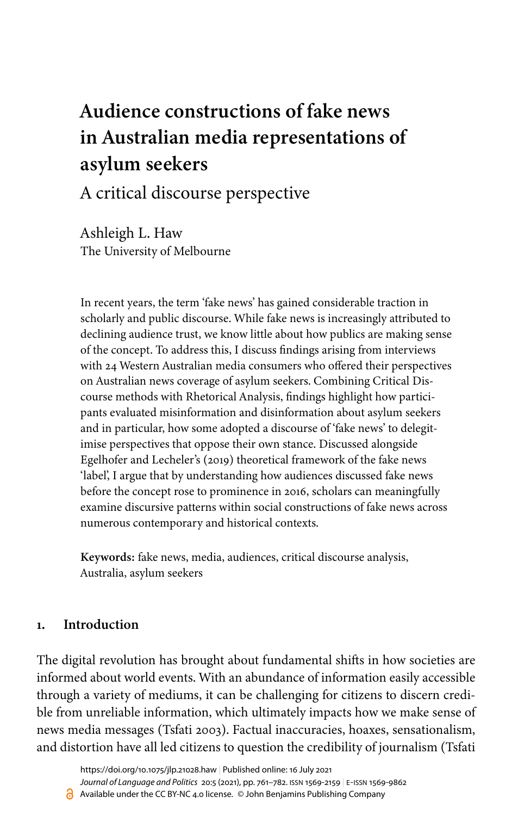# **Audience constructions of fake news in Australian media representations of asylum seekers**

## A critical discourse perspective

Ashleigh L. Haw The University of Melbourne

In recent years, the term 'fake news' has gained considerable traction in scholarly and public discourse. While fake news is increasingly attributed to declining audience trust, we know little about how publics are making sense of the concept. To address this, I discuss findings arising from interviews with 24 Western Australian media consumers who offered their perspectives on Australian news coverage of asylum seekers. Combining Critical Discourse methods with Rhetorical Analysis, findings highlight how participants evaluated misinformation and disinformation about asylum seekers and in particular, how some adopted a discourse of 'fake news' to delegitimise perspectives that oppose their own stance. Discussed alongside [Egelhofer and Lecheler's \(2019\)](#page-18-0) theoretical framework of the fake news 'label', I argue that by understanding how audiences discussed fake news before the concept rose to prominence in 2016, scholars can meaningfully examine discursive patterns within social constructions of fake news across numerous contemporary and historical contexts.

**Keywords:** fake news, media, audiences, critical discourse analysis, Australia, asylum seekers

## **1. Introduction**

The digital revolution has brought about fundamental shifts in how societies are informed about world events. With an abundance of information easily accessible through a variety of mediums, it can be challenging for citizens to discern credible from unreliable information, which ultimately impacts how we make sense of news media messages ([Tsfati 2003\)](#page-20-0). Factual inaccuracies, hoaxes, sensationalism, and distortion have all led citizens to question the credibility of journalism [\(Tsfati](#page-20-1)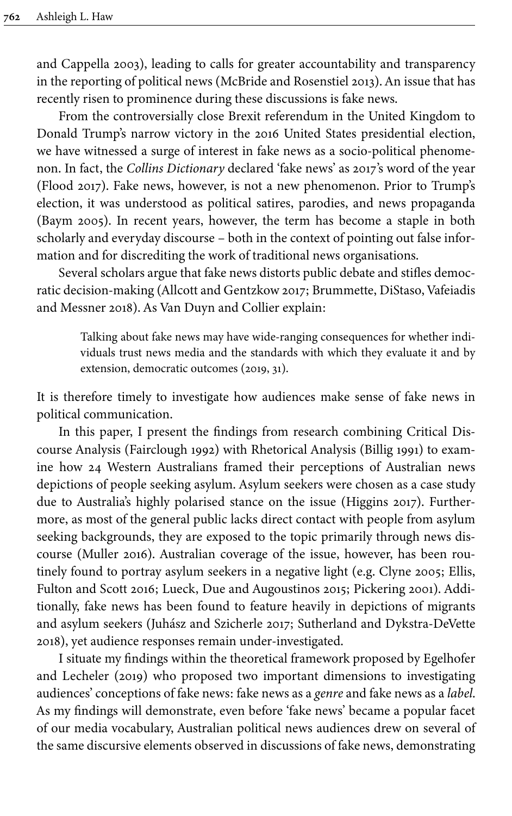[and Cappella 2003](#page-20-1)), leading to calls for greater accountability and transparency in the reporting of political news ([McBride and Rosenstiel 2013](#page-19-0)). An issue that has recently risen to prominence during these discussions is fake news.

From the controversially close Brexit referendum in the United Kingdom to Donald Trump's narrow victory in the 2016 United States presidential election, we have witnessed a surge of interest in fake news as a socio-political phenomenon. In fact, the *Collins Dictionary* declared 'fake news' as 2017's word of the year [\(Flood 2017](#page-18-1)). Fake news, however, is not a new phenomenon. Prior to Trump's election, it was understood as political satires, parodies, and news propaganda [\(Baym 2005](#page-17-0)). In recent years, however, the term has become a staple in both scholarly and everyday discourse – both in the context of pointing out false information and for discrediting the work of traditional news organisations.

Several scholars argue that fake news distorts public debate and stifles democratic decision-making [\(Allcott and Gentzkow 2017;](#page-17-1) [Brummette, DiStaso, Vafeiadis](#page-17-2) [and Messner 2018\)](#page-17-2). As Van Duyn and Collier explain:

Talking about fake news may have wide-ranging consequences for whether individuals trust news media and the standards with which they evaluate it and by extension, democratic outcomes [\(2019,](#page-20-2) 31).

It is therefore timely to investigate how audiences make sense of fake news in political communication.

In this paper, I present the findings from research combining Critical Discourse Analysis [\(Fairclough 1992](#page-18-2)) with Rhetorical Analysis ([Billig 1991\)](#page-17-3) to examine how 24 Western Australians framed their perceptions of Australian news depictions of people seeking asylum. Asylum seekers were chosen as a case study due to Australia's highly polarised stance on the issue [\(Higgins 2017](#page-18-3)). Furthermore, as most of the general public lacks direct contact with people from asylum seeking backgrounds, they are exposed to the topic primarily through news discourse [\(Muller 2016](#page-19-1)). Australian coverage of the issue, however, has been routinely found to portray asylum seekers in a negative light (e.g. [Clyne 2005;](#page-18-4) [Ellis,](#page-18-5) [Fulton and Scott 2016](#page-18-5); [Lueck, Due and Augoustinos 2015](#page-19-2); [Pickering 2001\)](#page-19-3). Additionally, fake news has been found to feature heavily in depictions of migrants and asylum seekers [\(Juhász and Szicherle 2017;](#page-19-4) Sutherland and [Dykstra-DeVette](#page-20-3) [2018\)](#page-20-3), yet audience responses remain under-investigated.

I situate my findings within the theoretical framework proposed by [Egelhofer](#page-18-0) [and Lecheler \(2019\)](#page-18-0) who proposed two important dimensions to investigating audiences' conceptions of fake news: fake news as a *genre* and fake news as a *label*. As my findings will demonstrate, even before 'fake news' became a popular facet of our media vocabulary, Australian political news audiences drew on several of the same discursive elements observed in discussions of fake news, demonstrating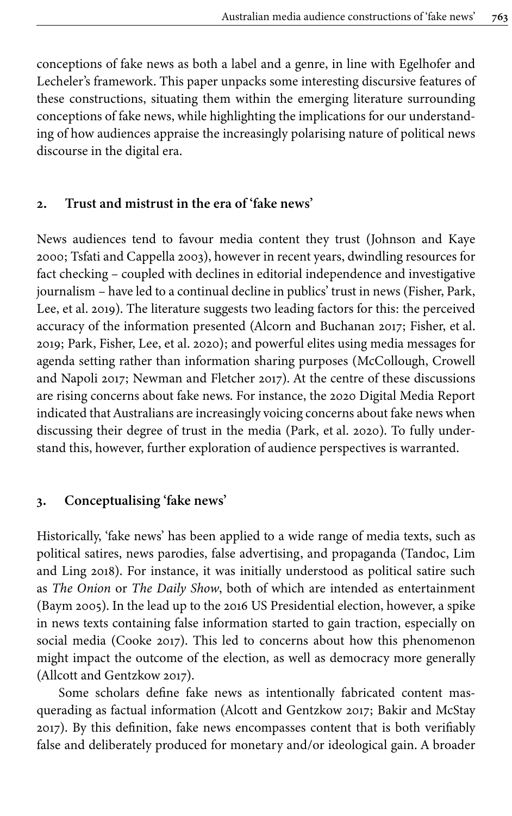conceptions of fake news as both a label and a genre, in line with Egelhofer and Lecheler's framework. This paper unpacks some interesting discursive features of these constructions, situating them within the emerging literature surrounding conceptions of fake news, while highlighting the implications for our understanding of how audiences appraise the increasingly polarising nature of political news discourse in the digital era.

## **2. Trust and mistrust in the era of 'fake news'**

News audiences tend to favour media content they trust ([Johnson and Kaye](#page-18-6) [2000;](#page-18-6) [Tsfati and Cappella 2003\)](#page-20-1), however in recent years, dwindling resources for fact checking – coupled with declines in editorial independence and investigative journalism – have led to a continual decline in publics' trust in news [\(Fisher, Park,](#page-18-7) Lee, et [al. 2019](#page-18-7)). The literature suggests two leading factors for this: the perceived accuracy of the information presented [\(Alcorn and Buchanan 2017;](#page-17-4) [Fisher, et](#page-18-7) al. [2019;](#page-18-7) [Park, Fisher, Lee, et](#page-19-5) al. 2020); and powerful elites using media messages for agenda setting rather than information sharing purposes ([McCollough, Crowell](#page-19-6) [and Napoli 2017;](#page-19-6) [Newman and Fletcher 2017\)](#page-19-7). At the centre of these discussions are rising concerns about fake news. For instance, the 2020 Digital Media Report indicated that Australians are increasingly voicing concerns about fake news when discussing their degree of trust in the media [\(Park, et](#page-19-5) al. 2020). To fully understand this, however, further exploration of audience perspectives is warranted.

#### **3. Conceptualising 'fake news'**

Historically, 'fake news' has been applied to a wide range of media texts, such as political satires, news parodies, false advertising, and propaganda [\(Tandoc, Lim](#page-20-4) [and Ling 2018](#page-20-4)). For instance, it was initially understood as political satire such as *The Onion* or *The Daily Show*, both of which are intended as entertainment [\(Baym 2005\)](#page-17-0). In the lead up to the 2016 US Presidential election, however, a spike in news texts containing false information started to gain traction, especially on social media ([Cooke 2017\)](#page-18-8). This led to concerns about how this phenomenon might impact the outcome of the election, as well as democracy more generally [\(Allcott and Gentzkow 2017\)](#page-17-1).

Some scholars define fake news as intentionally fabricated content masquerading as factual information [\(Alcott and Gentzkow 2017](#page-17-1); [Bakir and McStay](#page-17-5) [2017\)](#page-17-5). By this definition, fake news encompasses content that is both verifiably false and deliberately produced for monetary and/or ideological gain. A broader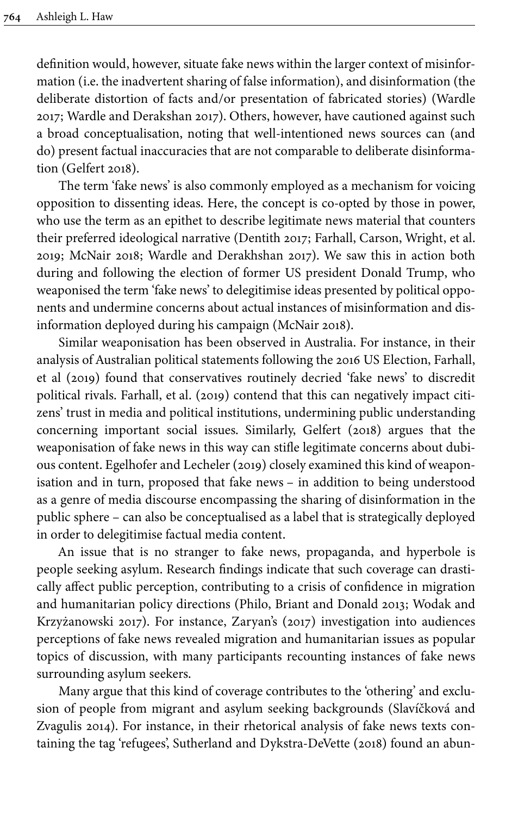definition would, however, situate fake news within the larger context of misinformation (i.e. the inadvertent sharing of false information), and disinformation (the deliberate distortion of facts and/or presentation of fabricated stories) [\(Wardle](#page-20-5) [2017;](#page-20-5) [Wardle and Derakshan 2017](#page-20-6)). Others, however, have cautioned against such a broad conceptualisation, noting that well-intentioned news sources can (and do) present factual inaccuracies that are not comparable to deliberate disinformation [\(Gelfert 2018](#page-18-9)).

The term 'fake news' is also commonly employed as a mechanism for voicing opposition to dissenting ideas. Here, the concept is co-opted by those in power, who use the term as an epithet to describe legitimate news material that counters their preferred ideological narrative ([Dentith 2017](#page-18-10); [Farhall, Carson, Wright, et](#page-18-11) al. [2019;](#page-18-11) [McNair 2018](#page-19-8); [Wardle and Derakhshan 2017\)](#page-20-6). We saw this in action both during and following the election of former US president Donald Trump, who weaponised the term 'fake news' to delegitimise ideas presented by political opponents and undermine concerns about actual instances of misinformation and disinformation deployed during his campaign [\(McNair 2018](#page-19-8)).

Similar weaponisation has been observed in Australia. For instance, in their analysis of Australian political statements following the 2016 US Election, [Farhall,](#page-18-11) [et al \(2019\)](#page-18-11) found that conservatives routinely decried 'fake news' to discredit political rivals. [Farhall, et](#page-18-11) al. (2019) contend that this can negatively impact citizens' trust in media and political institutions, undermining public understanding concerning important social issues. Similarly, [Gelfert \(2018\)](#page-18-9) argues that the weaponisation of fake news in this way can stifle legitimate concerns about dubious content. [Egelhofer and Lecheler \(2019\)](#page-18-0) closely examined this kind of weaponisation and in turn, proposed that fake news – in addition to being understood as a genre of media discourse encompassing the sharing of disinformation in the public sphere – can also be conceptualised as a label that is strategically deployed in order to delegitimise factual media content.

An issue that is no stranger to fake news, propaganda, and hyperbole is people seeking asylum. Research findings indicate that such coverage can drastically affect public perception, contributing to a crisis of confidence in migration and humanitarian policy directions [\(Philo, Briant and Donald 2013;](#page-19-9) [Wodak and](#page-20-7) [Krzyżanowski 2017](#page-20-7)). For instance, [Zaryan's \(2017\)](#page-20-8) investigation into audiences perceptions of fake news revealed migration and humanitarian issues as popular topics of discussion, with many participants recounting instances of fake news surrounding asylum seekers.

Many argue that this kind of coverage contributes to the 'othering' and exclusion of people from migrant and asylum seeking backgrounds ([Slavíčková and](#page-19-10) [Zvagulis 2014\)](#page-19-10). For instance, in their rhetorical analysis of fake news texts containing the tag 'refugees', Sutherland and [Dykstra-DeVette](#page-20-3) (2018) found an abun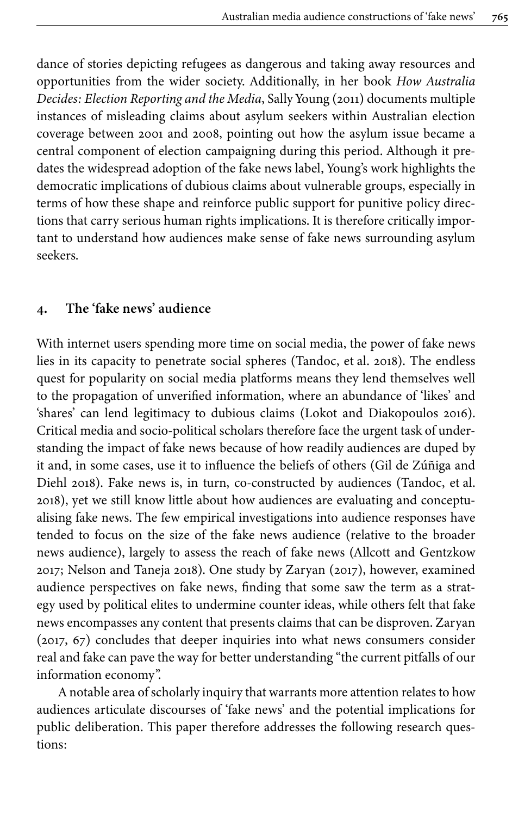dance of stories depicting refugees as dangerous and taking away resources and opportunities from the wider society. Additionally, in her book *How Australia Decides: Election Reporting and the Media*, [Sally Young \(2011\)](#page-20-9) documents multiple instances of misleading claims about asylum seekers within Australian election coverage between 2001 and 2008, pointing out how the asylum issue became a central component of election campaigning during this period. Although it predates the widespread adoption of the fake news label, Young's work highlights the democratic implications of dubious claims about vulnerable groups, especially in terms of how these shape and reinforce public support for punitive policy directions that carry serious human rights implications. It is therefore critically important to understand how audiences make sense of fake news surrounding asylum seekers.

#### **4. The 'fake news' audience**

With internet users spending more time on social media, the power of fake news lies in its capacity to penetrate social spheres [\(Tandoc, et](#page-20-4) al. 2018). The endless quest for popularity on social media platforms means they lend themselves well to the propagation of unverified information, where an abundance of 'likes' and 'shares' can lend legitimacy to dubious claims [\(Lokot and Diakopoulos 2016\)](#page-19-11). Critical media and socio-political scholars therefore face the urgent task of understanding the impact of fake news because of how readily audiences are duped by it and, in some cases, use it to influence the beliefs of others ([Gil de Zúñiga and](#page-18-12) [Diehl 2018](#page-18-12)). Fake news is, in turn, co-constructed by audiences ([Tandoc, et](#page-20-4) al. [2018\)](#page-20-4), yet we still know little about how audiences are evaluating and conceptualising fake news. The few empirical investigations into audience responses have tended to focus on the size of the fake news audience (relative to the broader news audience), largely to assess the reach of fake news ([Allcott and Gentzkow](#page-17-1) [2017;](#page-17-1) [Nelson and Taneja 2018](#page-19-12)). One study by [Zaryan \(2017\)](#page-20-8), however, examined audience perspectives on fake news, finding that some saw the term as a strategy used by political elites to undermine counter ideas, while others felt that fake news encompasses any content that presents claims that can be disproven. Zaryan [\(2017](#page-20-8), 67) concludes that deeper inquiries into what news consumers consider real and fake can pave the way for better understanding "the current pitfalls of our information economy".

A notable area of scholarly inquiry that warrants more attention relates to how audiences articulate discourses of 'fake news' and the potential implications for public deliberation. This paper therefore addresses the following research questions: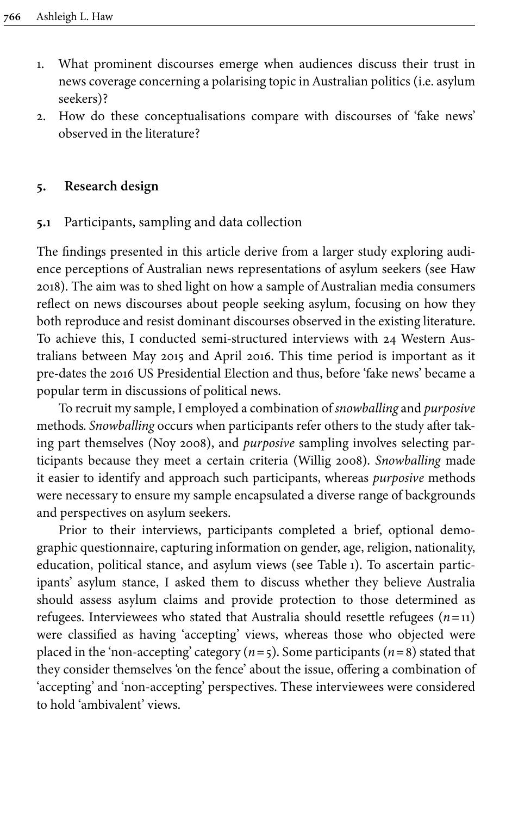- 1. What prominent discourses emerge when audiences discuss their trust in news coverage concerning a polarising topic in Australian politics (i.e. asylum seekers)?
- 2. How do these conceptualisations compare with discourses of 'fake news' observed in the literature?

## **5. Research design**

## **5.1** Participants, sampling and data collection

The findings presented in this article derive from a larger study exploring audience perceptions of Australian news representations of asylum seekers (see [Haw](#page-18-13) [2018\)](#page-18-13). The aim was to shed light on how a sample of Australian media consumers reflect on news discourses about people seeking asylum, focusing on how they both reproduce and resist dominant discourses observed in the existing literature. To achieve this, I conducted semi-structured interviews with 24 Western Australians between May 2015 and April 2016. This time period is important as it pre-dates the 2016 US Presidential Election and thus, before 'fake news' became a popular term in discussions of political news.

To recruit my sample, I employed a combination of *snowballing* and *purposive* methods*. Snowballing* occurs when participants refer others to the study after taking part themselves [\(Noy 2008](#page-19-13)), and *purposive* sampling involves selecting participants because they meet a certain criteria [\(Willig 2008\)](#page-20-10). *Snowballing* made it easier to identify and approach such participants, whereas *purposive* methods were necessary to ensure my sample encapsulated a diverse range of backgrounds and perspectives on asylum seekers.

Prior to their interviews, participants completed a brief, optional demographic questionnaire, capturing information on gender, age, religion, nationality, education, political stance, and asylum views (see [Table](#page-6-0) 1). To ascertain participants' asylum stance, I asked them to discuss whether they believe Australia should assess asylum claims and provide protection to those determined as refugees. Interviewees who stated that Australia should resettle refugees  $(n=11)$ were classified as having 'accepting' views, whereas those who objected were placed in the 'non-accepting' category  $(n=5)$ . Some participants  $(n=8)$  stated that they consider themselves 'on the fence' about the issue, offering a combination of 'accepting' and 'non-accepting' perspectives. These interviewees were considered to hold 'ambivalent' views.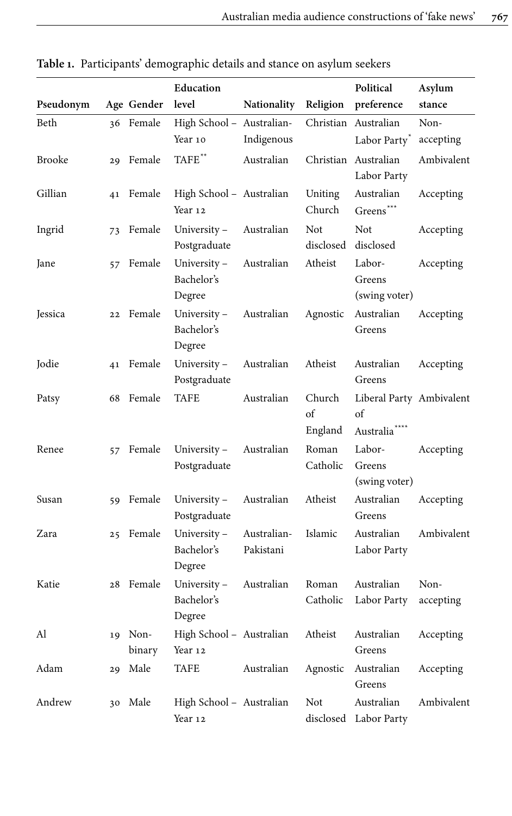|               |    |                   | Education                           |                          |                         | Political                                                   | Asylum            |
|---------------|----|-------------------|-------------------------------------|--------------------------|-------------------------|-------------------------------------------------------------|-------------------|
| Pseudonym     |    | Age Gender        | level                               | Nationality              | Religion                | preference                                                  | stance            |
| Beth          |    | 36 Female         | High School - Australian-           |                          |                         | Christian Australian                                        | Non-              |
|               |    |                   | Year 10                             | Indigenous               |                         | Labor Party <sup>*</sup>                                    | accepting         |
| <b>Brooke</b> |    | 29 Female         | $\mbox{TAFE}^{\ast\ast}$            | Australian               |                         | Christian Australian<br>Labor Party                         | Ambivalent        |
| Gillian       |    | 41 Female         | High School - Australian<br>Year 12 |                          | Uniting<br>Church       | Australian<br>Greens***                                     | Accepting         |
| Ingrid        | 73 | Female            | University-<br>Postgraduate         | Australian               | Not<br>disclosed        | Not<br>disclosed                                            | Accepting         |
| Jane          |    | 57 Female         | University-<br>Bachelor's<br>Degree | Australian               | Atheist                 | Labor-<br>Greens<br>(swing voter)                           | Accepting         |
| Jessica       |    | 22 Female         | University-<br>Bachelor's<br>Degree | Australian               | Agnostic                | Australian<br>Greens                                        | Accepting         |
| Jodie         |    | 41 Female         | University-<br>Postgraduate         | Australian               | Atheist                 | Australian<br>Greens                                        | Accepting         |
| Patsy         |    | 68 Female         | <b>TAFE</b>                         | Australian               | Church<br>of<br>England | Liberal Party Ambivalent<br>of<br>Australia <sup>****</sup> |                   |
| Renee         | 57 | Female            | University-<br>Postgraduate         | Australian               | Roman<br>Catholic       | Labor-<br>Greens<br>(swing voter)                           | Accepting         |
| Susan         |    | 59 Female         | University-<br>Postgraduate         | Australian               | Atheist                 | Australian<br>Greens                                        | Accepting         |
| Zara          |    | 25 Female         | University-<br>Bachelor's<br>Degree | Australian-<br>Pakistani | Islamic                 | Australian<br>Labor Party                                   | Ambivalent        |
| Katie         |    | 28 Female         | University-<br>Bachelor's<br>Degree | Australian               | Roman<br>Catholic       | Australian<br>Labor Party                                   | Non-<br>accepting |
| Al            |    | 19 Non-<br>binary | High School - Australian<br>Year 12 |                          | Atheist                 | Australian<br>Greens                                        | Accepting         |
| Adam          | 29 | Male              | TAFE                                | Australian               | Agnostic                | Australian<br>Greens                                        | Accepting         |
| Andrew        |    | 30 Male           | High School - Australian<br>Year 12 |                          | Not                     | Australian<br>disclosed Labor Party                         | Ambivalent        |

<span id="page-6-0"></span>**Table 1.** Participants' demographic details and stance on asylum seekers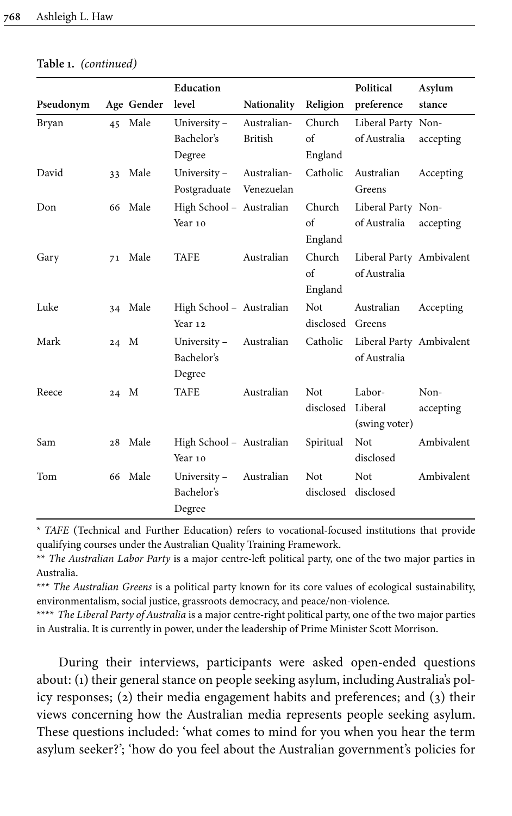|           |      |            | Education                |                |                   | Political                | Asylum     |
|-----------|------|------------|--------------------------|----------------|-------------------|--------------------------|------------|
| Pseudonym |      | Age Gender | level                    | Nationality    | Religion          | preference               | stance     |
| Bryan     |      | 45 Male    | University-              | Australian-    | Church            | Liberal Party Non-       |            |
|           |      |            | Bachelor's               | <b>British</b> | of                | of Australia             | accepting  |
|           |      |            | Degree                   |                | England           |                          |            |
| David     |      | 33 Male    | University-              | Australian-    | Catholic          | Australian               | Accepting  |
|           |      |            | Postgraduate             | Venezuelan     |                   | Greens                   |            |
| Don       |      | 66 Male    | High School - Australian |                | Church            | Liberal Party Non-       |            |
|           |      |            | Year 10                  |                | $\sigma$ f        | of Australia             | accepting  |
|           |      |            |                          |                | England           |                          |            |
| Gary      |      | 71 Male    | TAFE                     | Australian     | Church            | Liberal Party Ambivalent |            |
|           |      |            |                          |                | $\alpha$ f        | of Australia             |            |
|           |      |            |                          |                | England           |                          |            |
| Luke      |      | 34 Male    | High School - Australian |                | Not               | Australian               | Accepting  |
|           |      |            | Year 12                  |                | disclosed Greens  |                          |            |
| Mark      | 24 M |            | University-              | Australian     | Catholic          | Liberal Party Ambivalent |            |
|           |      |            | Bachelor's               |                |                   | of Australia             |            |
|           |      |            | Degree                   |                |                   |                          |            |
| Reece     | 24 M |            | <b>TAFE</b>              | Australian     | <b>Not</b>        | Labor-                   | Non-       |
|           |      |            |                          |                | disclosed Liberal |                          | accepting  |
|           |      |            |                          |                |                   | (swing voter)            |            |
| Sam       |      | 28 Male    | High School - Australian |                | Spiritual         | Not                      | Ambivalent |
|           |      |            | Year 10                  |                |                   | disclosed                |            |
| Tom       |      | 66 Male    | University-              | Australian     | Not               | <b>Not</b>               | Ambivalent |
|           |      |            | Bachelor's               |                | disclosed         | disclosed                |            |
|           |      |            | Degree                   |                |                   |                          |            |

**Table 1.** *(continued)*

<span id="page-7-0"></span>\* *TAFE* (Technical and Further Education) refers to vocational-focused institutions that provide qualifying courses under the Australian Quality Training Framework.

<span id="page-7-1"></span>\*\* *The Australian Labor Party* is a major centre-left political party, one of the two major parties in Australia.

<span id="page-7-2"></span>\*\*\* *The Australian Greens* is a political party known for its core values of ecological sustainability, environmentalism, social justice, grassroots democracy, and peace/non-violence.

<span id="page-7-3"></span>\*\*\*\* *The Liberal Party of Australia* is a major centre-right political party, one of the two major parties in Australia. It is currently in power, under the leadership of Prime Minister Scott Morrison.

During their interviews, participants were asked open-ended questions about: (1) their general stance on people seeking asylum, including Australia's policy responses; (2) their media engagement habits and preferences; and (3) their views concerning how the Australian media represents people seeking asylum. These questions included: 'what comes to mind for you when you hear the term asylum seeker?'; 'how do you feel about the Australian government's policies for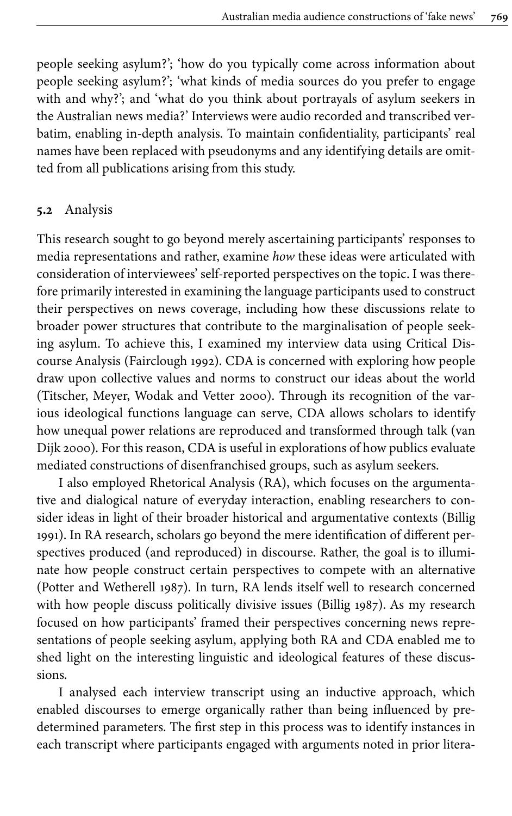people seeking asylum?'; 'how do you typically come across information about people seeking asylum?'; 'what kinds of media sources do you prefer to engage with and why?'; and 'what do you think about portrayals of asylum seekers in the Australian news media?' Interviews were audio recorded and transcribed verbatim, enabling in-depth analysis. To maintain confidentiality, participants' real names have been replaced with pseudonyms and any identifying details are omitted from all publications arising from this study.

#### **5.2** Analysis

This research sought to go beyond merely ascertaining participants' responses to media representations and rather, examine *how* these ideas were articulated with consideration of interviewees' self-reported perspectives on the topic. I was therefore primarily interested in examining the language participants used to construct their perspectives on news coverage, including how these discussions relate to broader power structures that contribute to the marginalisation of people seeking asylum. To achieve this, I examined my interview data using Critical Discourse Analysis [\(Fairclough 1992](#page-18-2)). CDA is concerned with exploring how people draw upon collective values and norms to construct our ideas about the world [\(Titscher, Meyer, Wodak and Vetter 2000\)](#page-20-11). Through its recognition of the various ideological functions language can serve, CDA allows scholars to identify how unequal power relations are reproduced and transformed through talk [\(van](#page-20-12) [Dijk 2000](#page-20-12)). For this reason, CDA is useful in explorations of how publics evaluate mediated constructions of disenfranchised groups, such as asylum seekers.

I also employed Rhetorical Analysis (RA), which focuses on the argumentative and dialogical nature of everyday interaction, enabling researchers to consider ideas in light of their broader historical and argumentative contexts [\(Billig](#page-17-3) [1991\)](#page-17-3). In RA research, scholars go beyond the mere identification of different perspectives produced (and reproduced) in discourse. Rather, the goal is to illuminate how people construct certain perspectives to compete with an alternative [\(Potter and Wetherell 1987](#page-19-14)). In turn, RA lends itself well to research concerned with how people discuss politically divisive issues [\(Billig 1987](#page-17-6)). As my research focused on how participants' framed their perspectives concerning news representations of people seeking asylum, applying both RA and CDA enabled me to shed light on the interesting linguistic and ideological features of these discussions.

I analysed each interview transcript using an inductive approach, which enabled discourses to emerge organically rather than being influenced by predetermined parameters. The first step in this process was to identify instances in each transcript where participants engaged with arguments noted in prior litera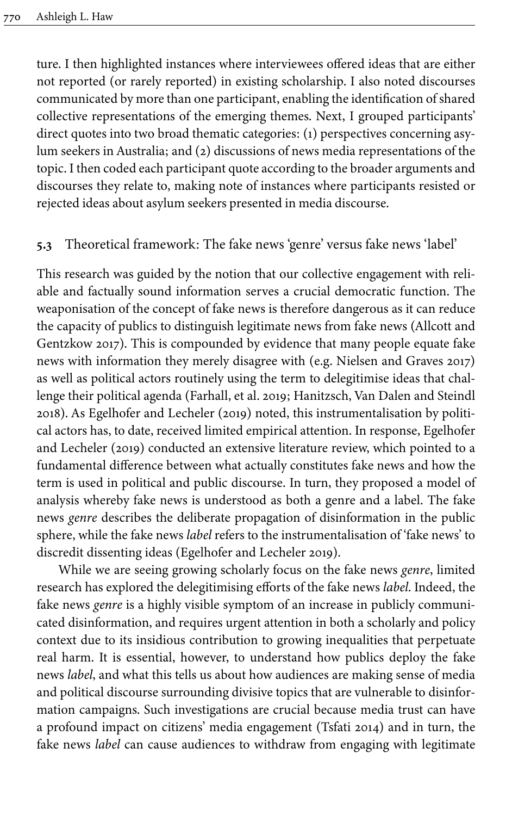ture. I then highlighted instances where interviewees offered ideas that are either not reported (or rarely reported) in existing scholarship. I also noted discourses communicated by more than one participant, enabling the identification of shared collective representations of the emerging themes. Next, I grouped participants' direct quotes into two broad thematic categories: (1) perspectives concerning asylum seekers in Australia; and (2) discussions of news media representations of the topic. I then coded each participant quote according to the broader arguments and discourses they relate to, making note of instances where participants resisted or rejected ideas about asylum seekers presented in media discourse.

## **5.3** Theoretical framework: The fake news 'genre' versus fake news 'label'

This research was guided by the notion that our collective engagement with reliable and factually sound information serves a crucial democratic function. The weaponisation of the concept of fake news is therefore dangerous as it can reduce the capacity of publics to distinguish legitimate news from fake news [\(Allcott and](#page-17-1) [Gentzkow 2017\)](#page-17-1). This is compounded by evidence that many people equate fake news with information they merely disagree with (e.g. [Nielsen and Graves 2017\)](#page-19-15) as well as political actors routinely using the term to delegitimise ideas that challenge their political agenda [\(Farhall, et](#page-18-11) al. 2019; [Hanitzsch, Van Dalen and Steindl](#page-18-14) [2018\)](#page-18-14). As [Egelhofer and Lecheler \(2019\)](#page-18-0) noted, this instrumentalisation by political actors has, to date, received limited empirical attention. In response, [Egelhofer](#page-18-0) [and Lecheler \(2019\)](#page-18-0) conducted an extensive literature review, which pointed to a fundamental difference between what actually constitutes fake news and how the term is used in political and public discourse. In turn, they proposed a model of analysis whereby fake news is understood as both a genre and a label. The fake news *genre* describes the deliberate propagation of disinformation in the public sphere, while the fake news *label* refers to the instrumentalisation of 'fake news' to discredit dissenting ideas ([Egelhofer and Lecheler 2019](#page-18-0)).

While we are seeing growing scholarly focus on the fake news *genre*, limited research has explored the delegitimising efforts of the fake news *label*. Indeed, the fake news *genre* is a highly visible symptom of an increase in publicly communicated disinformation, and requires urgent attention in both a scholarly and policy context due to its insidious contribution to growing inequalities that perpetuate real harm. It is essential, however, to understand how publics deploy the fake news *label*, and what this tells us about how audiences are making sense of media and political discourse surrounding divisive topics that are vulnerable to disinformation campaigns. Such investigations are crucial because media trust can have a profound impact on citizens' media engagement ([Tsfati 2014\)](#page-20-13) and in turn, the fake news *label* can cause audiences to withdraw from engaging with legitimate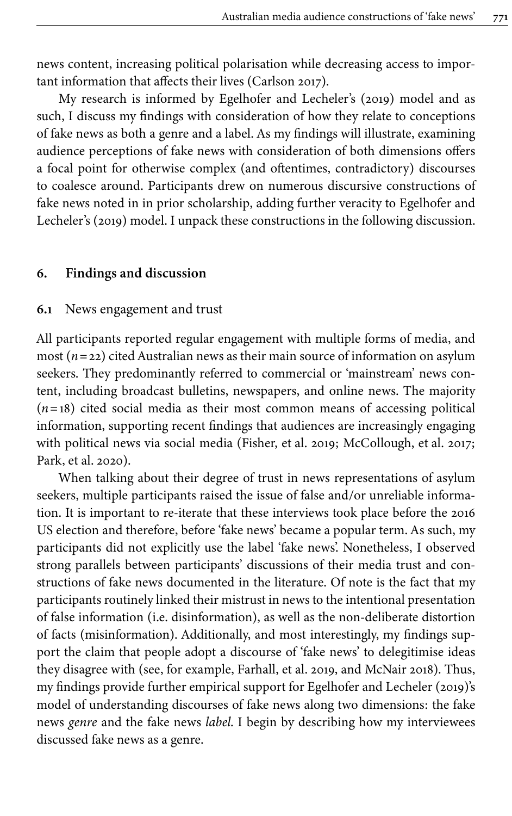news content, increasing political polarisation while decreasing access to important information that affects their lives [\(Carlson 2017](#page-18-15)).

My research is informed by [Egelhofer and Lecheler's \(2019\)](#page-18-0) model and as such, I discuss my findings with consideration of how they relate to conceptions of fake news as both a genre and a label. As my findings will illustrate, examining audience perceptions of fake news with consideration of both dimensions offers a focal point for otherwise complex (and oftentimes, contradictory) discourses to coalesce around. Participants drew on numerous discursive constructions of fake news noted in in prior scholarship, adding further veracity to [Egelhofer and](#page-18-0) [Lecheler's \(2019\)](#page-18-0) model. I unpack these constructions in the following discussion.

#### **6. Findings and discussion**

#### **6.1** News engagement and trust

All participants reported regular engagement with multiple forms of media, and most (*n*=22) cited Australian news as their main source of information on asylum seekers. They predominantly referred to commercial or 'mainstream' news content, including broadcast bulletins, newspapers, and online news. The majority  $(n=18)$  cited social media as their most common means of accessing political information, supporting recent findings that audiences are increasingly engaging with political news via social media [\(Fisher, et](#page-18-7) al. 2019; [McCollough, et](#page-19-6) al. 2017; [Park, et](#page-19-5) al. 2020).

When talking about their degree of trust in news representations of asylum seekers, multiple participants raised the issue of false and/or unreliable information. It is important to re-iterate that these interviews took place before the 2016 US election and therefore, before 'fake news' became a popular term. As such, my participants did not explicitly use the label 'fake news'. Nonetheless, I observed strong parallels between participants' discussions of their media trust and constructions of fake news documented in the literature. Of note is the fact that my participants routinely linked their mistrust in news to the intentional presentation of false information (i.e. disinformation), as well as the non-deliberate distortion of facts (misinformation). Additionally, and most interestingly, my findings support the claim that people adopt a discourse of 'fake news' to delegitimise ideas they disagree with (see, for example, [Farhall, et](#page-18-11) al. 2019, and [McNair 2018](#page-19-8)). Thus, my findings provide further empirical support for [Egelhofer and Lecheler \(2019\)'s](#page-18-0) model of understanding discourses of fake news along two dimensions: the fake news *genre* and the fake news *label*. I begin by describing how my interviewees discussed fake news as a genre.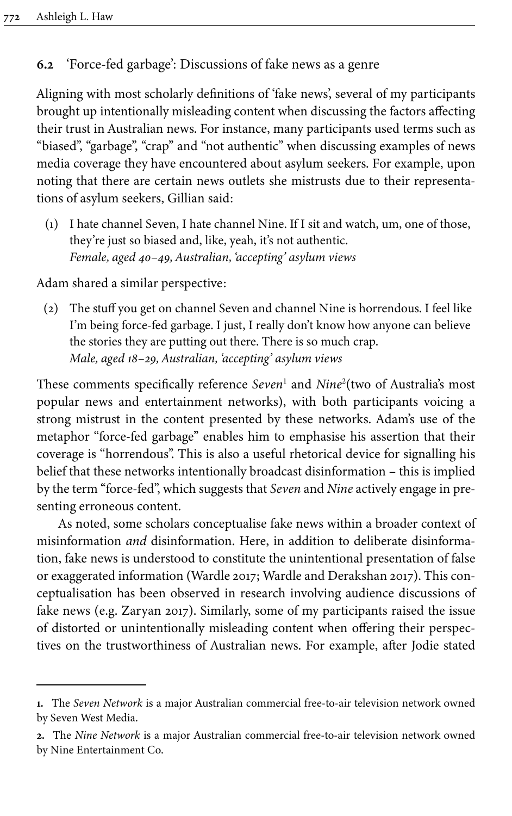## **6.2** 'Force-fed garbage': Discussions of fake news as a genre

Aligning with most scholarly definitions of 'fake news', several of my participants brought up intentionally misleading content when discussing the factors affecting their trust in Australian news. For instance, many participants used terms such as "biased", "garbage", "crap" and "not authentic" when discussing examples of news media coverage they have encountered about asylum seekers. For example, upon noting that there are certain news outlets she mistrusts due to their representations of asylum seekers, Gillian said:

(1) I hate channel Seven, I hate channel Nine. If I sit and watch, um, one of those, they're just so biased and, like, yeah, it's not authentic. *Female, aged 40–49, Australian, 'accepting' asylum views*

Adam shared a similar perspective:

(2) The stuff you get on channel Seven and channel Nine is horrendous. I feel like I'm being force-fed garbage. I just, I really don't know how anyone can believe the stories they are putting out there. There is so much crap. *Male, aged 18–29, Australian, 'accepting' asylum views*

These comments specifically reference *Seven*<sup>1</sup> and *Nine*<sup>2</sup> (two of Australia's most popular news and entertainment networks), with both participants voicing a strong mistrust in the content presented by these networks. Adam's use of the metaphor "force-fed garbage" enables him to emphasise his assertion that their coverage is "horrendous". This is also a useful rhetorical device for signalling his belief that these networks intentionally broadcast disinformation – this is implied by the term "force-fed", which suggests that *Seven* and *Nine* actively engage in presenting erroneous content.

As noted, some scholars conceptualise fake news within a broader context of misinformation *and* disinformation. Here, in addition to deliberate disinformation, fake news is understood to constitute the unintentional presentation of false or exaggerated information [\(Wardle 2017;](#page-20-5) [Wardle and Derakshan 2017\)](#page-20-6). This conceptualisation has been observed in research involving audience discussions of fake news (e.g. [Zaryan 2017](#page-20-8)). Similarly, some of my participants raised the issue of distorted or unintentionally misleading content when offering their perspectives on the trustworthiness of Australian news. For example, after Jodie stated

**<sup>1.</sup>** The *Seven Network* is a major Australian commercial free-to-air television network owned by Seven West Media.

**<sup>2.</sup>** The *Nine Network* is a major Australian commercial free-to-air television network owned by Nine Entertainment Co.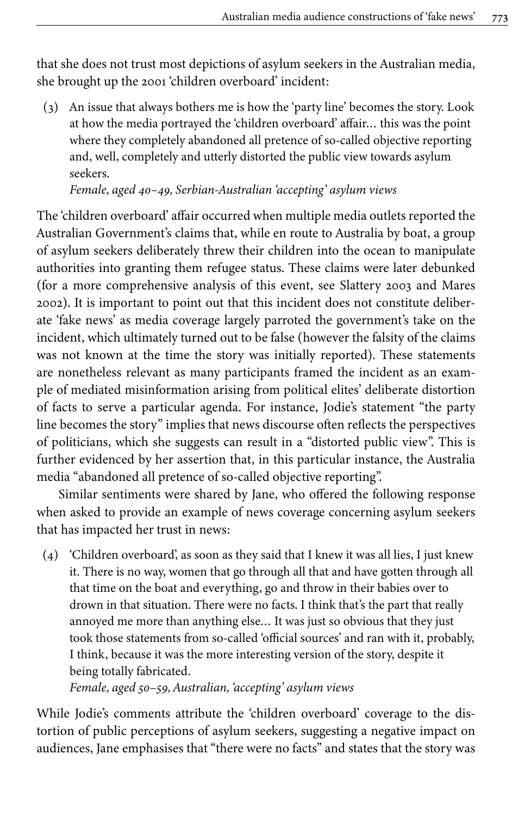that she does not trust most depictions of asylum seekers in the Australian media, she brought up the 2001 'children overboard' incident:

(3) An issue that always bothers me is how the 'party line' becomes the story. Look at how the media portrayed the 'children overboard' affair… this was the point where they completely abandoned all pretence of so-called objective reporting and, well, completely and utterly distorted the public view towards asylum seekers.

*Female, aged 40–49, Serbian-Australian 'accepting' asylum views*

The 'children overboard' affair occurred when multiple media outlets reported the Australian Government's claims that, while en route to Australia by boat, a group of asylum seekers deliberately threw their children into the ocean to manipulate authorities into granting them refugee status. These claims were later debunked (for a more comprehensive analysis of this event, see [Slattery 2003](#page-19-16) and [Mares](#page-19-17) [2002\)](#page-19-17). It is important to point out that this incident does not constitute deliberate 'fake news' as media coverage largely parroted the government's take on the incident, which ultimately turned out to be false (however the falsity of the claims was not known at the time the story was initially reported). These statements are nonetheless relevant as many participants framed the incident as an example of mediated misinformation arising from political elites' deliberate distortion of facts to serve a particular agenda. For instance, Jodie's statement "the party line becomes the story" implies that news discourse often reflects the perspectives of politicians, which she suggests can result in a "distorted public view". This is further evidenced by her assertion that, in this particular instance, the Australia media "abandoned all pretence of so-called objective reporting".

Similar sentiments were shared by Jane, who offered the following response when asked to provide an example of news coverage concerning asylum seekers that has impacted her trust in news:

(4) 'Children overboard', as soon as they said that I knew it was all lies, I just knew it. There is no way, women that go through all that and have gotten through all that time on the boat and everything, go and throw in their babies over to drown in that situation. There were no facts. I think that's the part that really annoyed me more than anything else… It was just so obvious that they just took those statements from so-called 'official sources' and ran with it, probably, I think, because it was the more interesting version of the story, despite it being totally fabricated.

*Female, aged 50–59, Australian, 'accepting' asylum views*

While Jodie's comments attribute the 'children overboard' coverage to the distortion of public perceptions of asylum seekers, suggesting a negative impact on audiences, Jane emphasises that "there were no facts" and states that the story was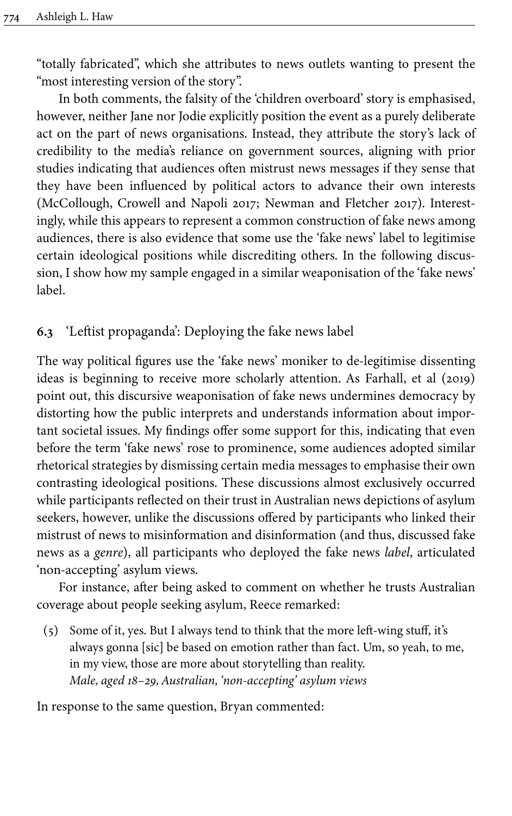"totally fabricated", which she attributes to news outlets wanting to present the "most interesting version of the story".

In both comments, the falsity of the 'children overboard' story is emphasised, however, neither Jane nor Jodie explicitly position the event as a purely deliberate act on the part of news organisations. Instead, they attribute the story's lack of credibility to the media's reliance on government sources, aligning with prior studies indicating that audiences often mistrust news messages if they sense that they have been influenced by political actors to advance their own interests [\(McCollough, Crowell and Napoli 2017](#page-19-6); [Newman and Fletcher 2017\)](#page-19-7). Interestingly, while this appears to represent a common construction of fake news among audiences, there is also evidence that some use the 'fake news' label to legitimise certain ideological positions while discrediting others. In the following discussion, I show how my sample engaged in a similar weaponisation of the 'fake news' label.

## **6.3** 'Leftist propaganda': Deploying the fake news label

The way political figures use the 'fake news' moniker to de-legitimise dissenting ideas is beginning to receive more scholarly attention. As [Farhall, et al \(2019\)](#page-18-11) point out, this discursive weaponisation of fake news undermines democracy by distorting how the public interprets and understands information about important societal issues. My findings offer some support for this, indicating that even before the term 'fake news' rose to prominence, some audiences adopted similar rhetorical strategies by dismissing certain media messages to emphasise their own contrasting ideological positions. These discussions almost exclusively occurred while participants reflected on their trust in Australian news depictions of asylum seekers, however, unlike the discussions offered by participants who linked their mistrust of news to misinformation and disinformation (and thus, discussed fake news as a *genre*), all participants who deployed the fake news *label*, articulated 'non-accepting' asylum views.

For instance, after being asked to comment on whether he trusts Australian coverage about people seeking asylum, Reece remarked:

(5) Some of it, yes. But I always tend to think that the more left-wing stuff, it's always gonna [sic] be based on emotion rather than fact. Um, so yeah, to me, in my view, those are more about storytelling than reality. *Male, aged 18–29, Australian, 'non-accepting' asylum views*

In response to the same question, Bryan commented: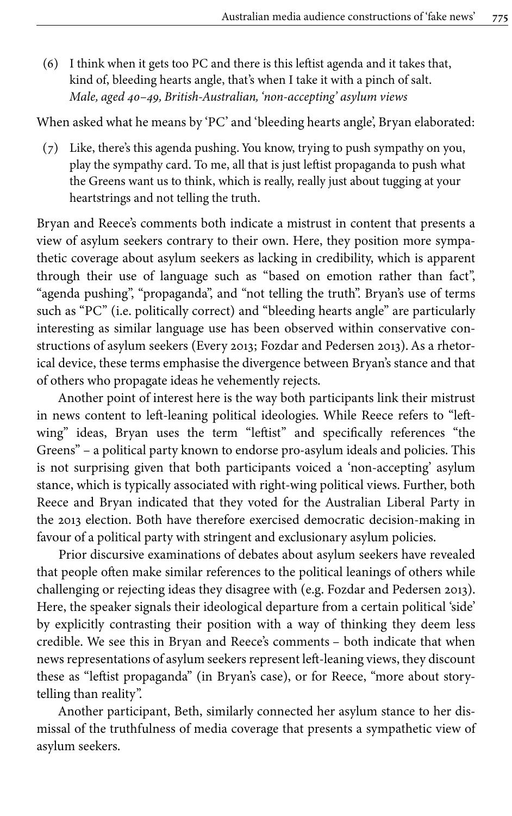(6) I think when it gets too PC and there is this leftist agenda and it takes that, kind of, bleeding hearts angle, that's when I take it with a pinch of salt. *Male, aged 40–49, British-Australian, 'non-accepting' asylum views*

When asked what he means by 'PC' and 'bleeding hearts angle', Bryan elaborated:

(7) Like, there's this agenda pushing. You know, trying to push sympathy on you, play the sympathy card. To me, all that is just leftist propaganda to push what the Greens want us to think, which is really, really just about tugging at your heartstrings and not telling the truth.

Bryan and Reece's comments both indicate a mistrust in content that presents a view of asylum seekers contrary to their own. Here, they position more sympathetic coverage about asylum seekers as lacking in credibility, which is apparent through their use of language such as "based on emotion rather than fact", "agenda pushing", "propaganda", and "not telling the truth". Bryan's use of terms such as "PC" (i.e. politically correct) and "bleeding hearts angle" are particularly interesting as similar language use has been observed within conservative constructions of asylum seekers [\(Every 2013;](#page-18-16) [Fozdar and Pedersen 2013\)](#page-18-17). As a rhetorical device, these terms emphasise the divergence between Bryan's stance and that of others who propagate ideas he vehemently rejects.

Another point of interest here is the way both participants link their mistrust in news content to left-leaning political ideologies. While Reece refers to "leftwing" ideas, Bryan uses the term "leftist" and specifically references "the Greens" – a political party known to endorse pro-asylum ideals and policies. This is not surprising given that both participants voiced a 'non-accepting' asylum stance, which is typically associated with right-wing political views. Further, both Reece and Bryan indicated that they voted for the Australian Liberal Party in the 2013 election. Both have therefore exercised democratic decision-making in favour of a political party with stringent and exclusionary asylum policies.

Prior discursive examinations of debates about asylum seekers have revealed that people often make similar references to the political leanings of others while challenging or rejecting ideas they disagree with (e.g. [Fozdar and Pedersen 2013\)](#page-18-17). Here, the speaker signals their ideological departure from a certain political 'side' by explicitly contrasting their position with a way of thinking they deem less credible. We see this in Bryan and Reece's comments – both indicate that when news representations of asylum seekers represent left-leaning views, they discount these as "leftist propaganda" (in Bryan's case), or for Reece, "more about storytelling than reality".

Another participant, Beth, similarly connected her asylum stance to her dismissal of the truthfulness of media coverage that presents a sympathetic view of asylum seekers.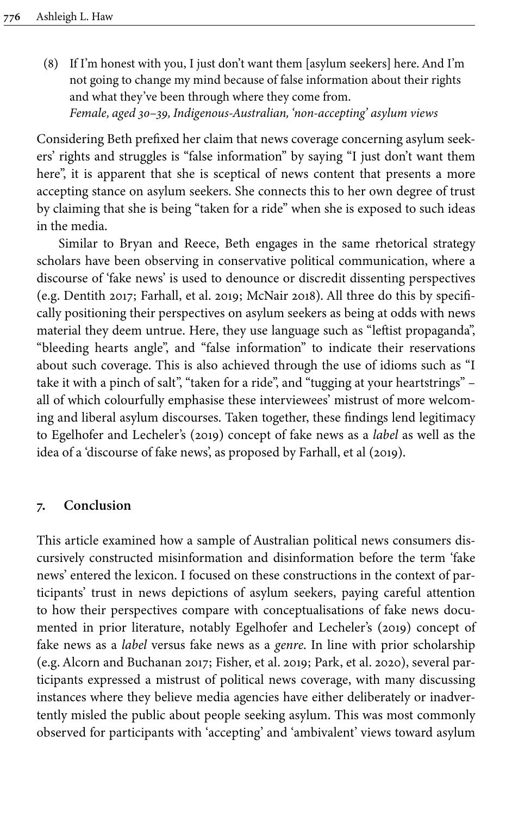(8) If I'm honest with you, I just don't want them [asylum seekers] here. And I'm not going to change my mind because of false information about their rights and what they've been through where they come from. *Female, aged 30–39, Indigenous-Australian, 'non-accepting' asylum views*

Considering Beth prefixed her claim that news coverage concerning asylum seekers' rights and struggles is "false information" by saying "I just don't want them here", it is apparent that she is sceptical of news content that presents a more accepting stance on asylum seekers. She connects this to her own degree of trust by claiming that she is being "taken for a ride" when she is exposed to such ideas in the media.

Similar to Bryan and Reece, Beth engages in the same rhetorical strategy scholars have been observing in conservative political communication, where a discourse of 'fake news' is used to denounce or discredit dissenting perspectives (e.g. [Dentith 2017](#page-18-10); [Farhall, et](#page-18-11) al. 2019; [McNair 2018\)](#page-19-8). All three do this by specifically positioning their perspectives on asylum seekers as being at odds with news material they deem untrue. Here, they use language such as "leftist propaganda", "bleeding hearts angle", and "false information" to indicate their reservations about such coverage. This is also achieved through the use of idioms such as "I take it with a pinch of salt", "taken for a ride", and "tugging at your heartstrings" – all of which colourfully emphasise these interviewees' mistrust of more welcoming and liberal asylum discourses. Taken together, these findings lend legitimacy to [Egelhofer and Lecheler's \(2019\)](#page-18-0) concept of fake news as a *label* as well as the idea of a 'discourse of fake news', as proposed by [Farhall, et al \(2019\)](#page-18-11).

#### **7. Conclusion**

This article examined how a sample of Australian political news consumers discursively constructed misinformation and disinformation before the term 'fake news' entered the lexicon. I focused on these constructions in the context of participants' trust in news depictions of asylum seekers, paying careful attention to how their perspectives compare with conceptualisations of fake news documented in prior literature, notably [Egelhofer and Lecheler's \(2019\)](#page-18-0) concept of fake news as a *label* versus fake news as a *genre*. In line with prior scholarship (e.g. [Alcorn and Buchanan 2017;](#page-17-4) [Fisher, et](#page-18-7) al. 2019; Park, et [al. 2020\)](#page-19-5), several participants expressed a mistrust of political news coverage, with many discussing instances where they believe media agencies have either deliberately or inadvertently misled the public about people seeking asylum. This was most commonly observed for participants with 'accepting' and 'ambivalent' views toward asylum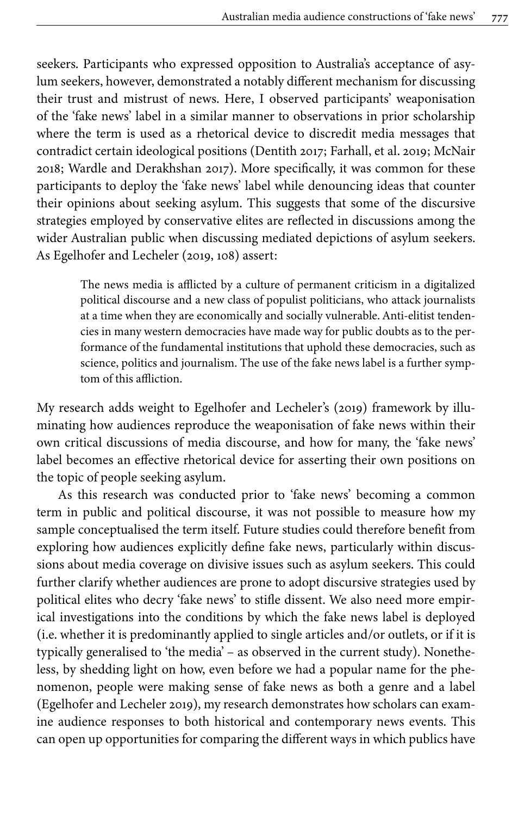seekers. Participants who expressed opposition to Australia's acceptance of asylum seekers, however, demonstrated a notably different mechanism for discussing their trust and mistrust of news. Here, I observed participants' weaponisation of the 'fake news' label in a similar manner to observations in prior scholarship where the term is used as a rhetorical device to discredit media messages that contradict certain ideological positions ([Dentith 2017;](#page-18-10) [Farhall, et](#page-18-11) al. 2019; [McNair](#page-19-8) [2018;](#page-19-8) [Wardle and Derakhshan 2017\)](#page-20-6). More specifically, it was common for these participants to deploy the 'fake news' label while denouncing ideas that counter their opinions about seeking asylum. This suggests that some of the discursive strategies employed by conservative elites are reflected in discussions among the wider Australian public when discussing mediated depictions of asylum seekers. As Egelhofer and Lecheler ([2019](#page-18-0), 108) assert:

> The news media is afflicted by a culture of permanent criticism in a digitalized political discourse and a new class of populist politicians, who attack journalists at a time when they are economically and socially vulnerable. Anti-elitist tendencies in many western democracies have made way for public doubts as to the performance of the fundamental institutions that uphold these democracies, such as science, politics and journalism. The use of the fake news label is a further symptom of this affliction.

My research adds weight to [Egelhofer and Lecheler's \(2019\)](#page-18-0) framework by illuminating how audiences reproduce the weaponisation of fake news within their own critical discussions of media discourse, and how for many, the 'fake news' label becomes an effective rhetorical device for asserting their own positions on the topic of people seeking asylum.

As this research was conducted prior to 'fake news' becoming a common term in public and political discourse, it was not possible to measure how my sample conceptualised the term itself. Future studies could therefore benefit from exploring how audiences explicitly define fake news, particularly within discussions about media coverage on divisive issues such as asylum seekers. This could further clarify whether audiences are prone to adopt discursive strategies used by political elites who decry 'fake news' to stifle dissent. We also need more empirical investigations into the conditions by which the fake news label is deployed (i.e. whether it is predominantly applied to single articles and/or outlets, or if it is typically generalised to 'the media' – as observed in the current study). Nonetheless, by shedding light on how, even before we had a popular name for the phenomenon, people were making sense of fake news as both a genre and a label [\(Egelhofer and Lecheler 2019\)](#page-18-0), my research demonstrates how scholars can examine audience responses to both historical and contemporary news events. This can open up opportunities for comparing the different ways in which publics have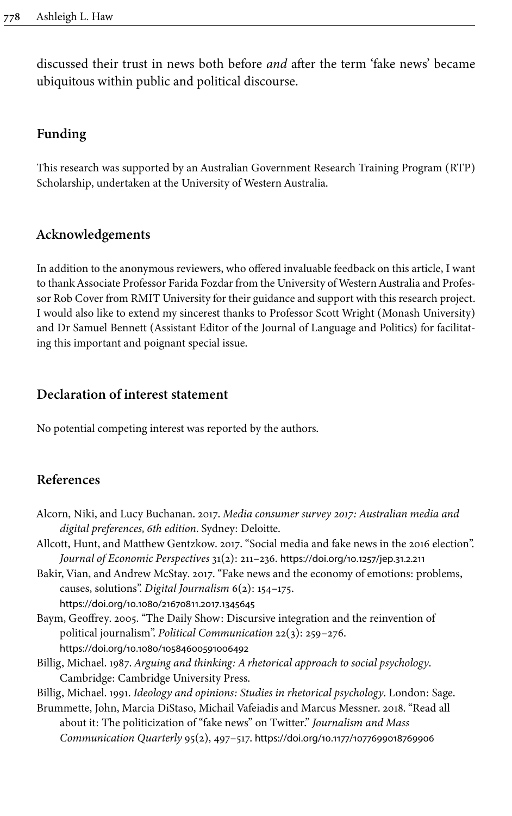discussed their trust in news both before *and* after the term 'fake news' became ubiquitous within public and political discourse.

## **Funding**

This research was supported by an Australian Government Research Training Program (RTP) Scholarship, undertaken at the University of Western Australia.

## **Acknowledgements**

In addition to the anonymous reviewers, who offered invaluable feedback on this article, I want to thank Associate Professor Farida Fozdar from the University of Western Australia and Professor Rob Cover from RMIT University for their guidance and support with this research project. I would also like to extend my sincerest thanks to Professor Scott Wright (Monash University) and Dr Samuel Bennett (Assistant Editor of the Journal of Language and Politics) for facilitating this important and poignant special issue.

## **Declaration of interest statement**

No potential competing interest was reported by the authors.

## **References**

- <span id="page-17-4"></span>Alcorn, Niki, and Lucy Buchanan. 2017. *Media consumer survey 2017: Australian media and digital preferences, 6th edition*. Sydney: Deloitte.
- <span id="page-17-1"></span>Allcott, Hunt, and Matthew Gentzkow. 2017. "Social media and fake news in the 2016 election". *Journal of Economic Perspectives* 31(2): 211–236. [https://doi.org/10.1257/jep.31.2.211](https://doi.org/10.1257%2Fjep.31.2.211)
- <span id="page-17-5"></span>Bakir, Vian, and Andrew McStay. 2017. "Fake news and the economy of emotions: problems, causes, solutions". *Digital Journalism* 6(2): 154–175. [https://doi.org/10.1080/21670811.2017.1345645](https://doi.org/10.1080%2F21670811.2017.1345645)
- <span id="page-17-0"></span>Baym, Geoffrey. 2005. "The Daily Show: Discursive integration and the reinvention of political journalism". *Political Communication* 22(3): 259–276. [https://doi.org/10.1080/10584600591006492](https://doi.org/10.1080%2F10584600591006492)
- <span id="page-17-6"></span>Billig, Michael. 1987. *Arguing and thinking: A rhetorical approach to social psychology*. Cambridge: Cambridge University Press.
- <span id="page-17-3"></span>Billig, Michael. 1991. *Ideology and opinions: Studies in rhetorical psychology*. London: Sage.
- <span id="page-17-2"></span>Brummette, John, Marcia DiStaso, Michail Vafeiadis and Marcus Messner. 2018. "Read all about it: The politicization of "fake news" on Twitter." *Journalism and Mass Communication Quarterly* 95(2), 497–517. [https://doi.org/10.1177/1077699018769906](https://doi.org/10.1177%2F1077699018769906)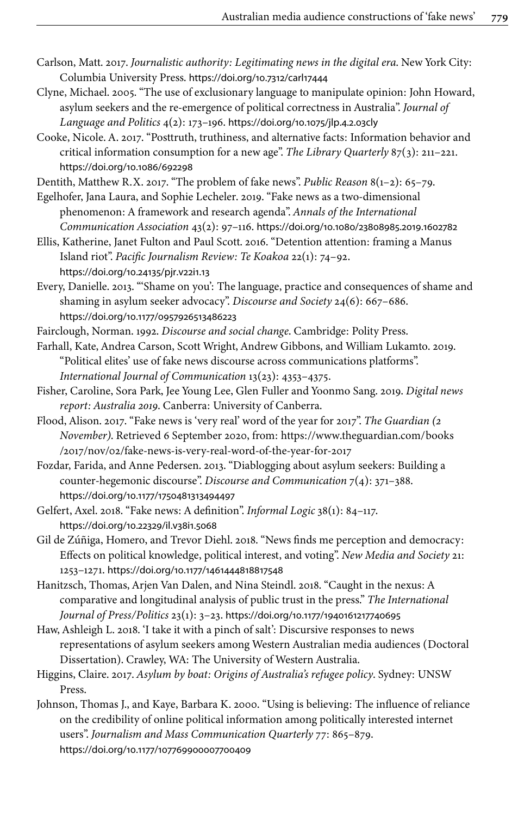- <span id="page-18-15"></span>Carlson, Matt. 2017. *Journalistic authority: Legitimating news in the digital era*. New York City: Columbia University Press. [https://doi.org/10.7312/carl17444](https://doi.org/10.7312%2Fcarl17444)
- <span id="page-18-4"></span>Clyne, Michael. 2005. "The use of exclusionary language to manipulate opinion: John Howard, asylum seekers and the re-emergence of political correctness in Australia". *Journal of Language and Politics* 4(2): 173–196. [https://doi.org/10.1075/jlp.4.2.03cly](https://doi.org/10.1075%2Fjlp.4.2.03cly)
- <span id="page-18-8"></span>Cooke, Nicole. A. 2017. "Posttruth, truthiness, and alternative facts: Information behavior and critical information consumption for a new age". *The Library Quarterly* 87(3): 211–221. [https://doi.org/10.1086/692298](https://doi.org/10.1086%2F692298)
- <span id="page-18-10"></span>Dentith, Matthew R.X. 2017. "The problem of fake news". *Public Reason* 8(1–2): 65–79.
- <span id="page-18-0"></span>Egelhofer, Jana Laura, and Sophie Lecheler. 2019. "Fake news as a two-dimensional phenomenon: A framework and research agenda". *Annals of the International Communication Association* 43(2): 97–116. [https://doi.org/10.1080/23808985.2019.1602782](https://doi.org/10.1080%2F23808985.2019.1602782)
- <span id="page-18-5"></span>Ellis, Katherine, Janet Fulton and Paul Scott. 2016. "Detention attention: framing a Manus Island riot". *Pacific Journalism Review: Te Koakoa* 22(1): 74–92. [https://doi.org/10.24135/pjr.v22i1.13](https://doi.org/10.24135%2Fpjr.v22i1.13)
- <span id="page-18-16"></span>Every, Danielle. 2013. "'Shame on you': The language, practice and consequences of shame and shaming in asylum seeker advocacy". *Discourse and Society* 24(6): 667–686. [https://doi.org/10.1177/0957926513486223](https://doi.org/10.1177%2F0957926513486223)
- <span id="page-18-2"></span>Fairclough, Norman. 1992. *Discourse and social change*. Cambridge: Polity Press.
- <span id="page-18-11"></span>Farhall, Kate, Andrea Carson, Scott Wright, Andrew Gibbons, and William Lukamto. 2019. "Political elites' use of fake news discourse across communications platforms". *International Journal of Communication* 13(23): 4353–4375.
- <span id="page-18-7"></span>Fisher, Caroline, Sora Park, Jee Young Lee, Glen Fuller and Yoonmo Sang. 2019. *Digital news report: Australia 2019*. Canberra: University of Canberra.
- <span id="page-18-1"></span>Flood, Alison. 2017. "Fake news is 'very real' word of the year for 2017". *The Guardian (2 November)*. Retrieved 6 September 2020, from: [https://www.theguardian.com/books](https://www.theguardian.com/books/2017/nov/02/fake-news-is-very-real-word-of-the-year-for-2017) [/2017/nov/02/fake-news-is-very-real-word-of-the-year-for-2017](https://www.theguardian.com/books/2017/nov/02/fake-news-is-very-real-word-of-the-year-for-2017)
- <span id="page-18-17"></span>Fozdar, Farida, and Anne Pedersen. 2013. "Diablogging about asylum seekers: Building a counter-hegemonic discourse". *Discourse and Communication* 7(4): 371–388. [https://doi.org/10.1177/1750481313494497](https://doi.org/10.1177%2F1750481313494497)
- <span id="page-18-9"></span>Gelfert, Axel. 2018. "Fake news: A definition". *Informal Logic* 38(1): 84–117. [https://doi.org/10.22329/il.v38i1.5068](https://doi.org/10.22329%2Fil.v38i1.5068)
- <span id="page-18-12"></span>Gil de Zúñiga, Homero, and Trevor Diehl. 2018. "News finds me perception and democracy: Effects on political knowledge, political interest, and voting". *New Media and Society* 21: 1253–1271. [https://doi.org/10.1177/1461444818817548](https://doi.org/10.1177%2F1461444818817548)
- <span id="page-18-14"></span>Hanitzsch, Thomas, Arjen Van Dalen, and Nina Steindl. 2018. "Caught in the nexus: A comparative and longitudinal analysis of public trust in the press." *The International Journal of Press/Politics* 23(1): 3–23. [https://doi.org/10.1177/1940161217740695](https://doi.org/10.1177%2F1940161217740695)
- <span id="page-18-13"></span>Haw, Ashleigh L. 2018. 'I take it with a pinch of salt': Discursive responses to news representations of asylum seekers among Western Australian media audiences (Doctoral Dissertation). Crawley, WA: The University of Western Australia.
- <span id="page-18-3"></span>Higgins, Claire. 2017. *Asylum by boat: Origins of Australia's refugee policy*. Sydney: UNSW Press.
- <span id="page-18-6"></span>Johnson, Thomas J., and Kaye, Barbara K. 2000. "Using is believing: The influence of reliance on the credibility of online political information among politically interested internet users". *Journalism and Mass Communication Quarterly* 77: 865–879. [https://doi.org/10.1177/107769900007700409](https://doi.org/10.1177%2F107769900007700409)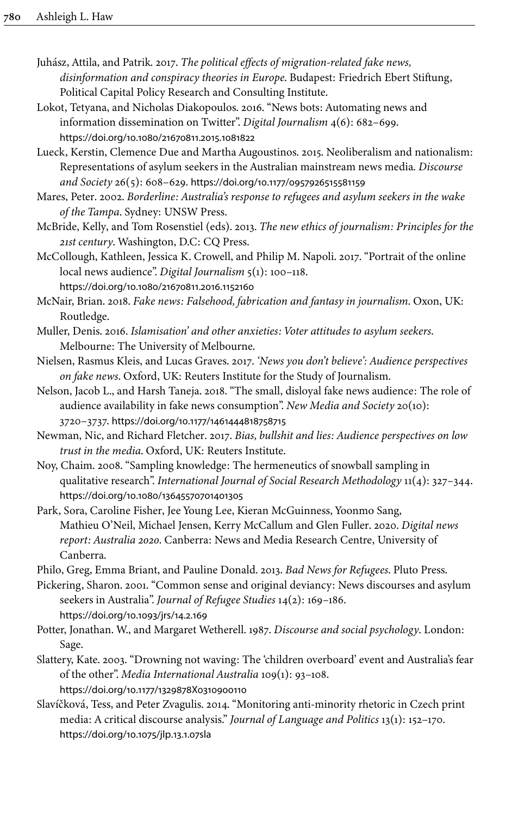- <span id="page-19-4"></span>Juhász, Attila, and Patrik. 2017. *The political effects of migration-related fake news, disinformation and conspiracy theories in Europe*. Budapest: Friedrich Ebert Stiftung, Political Capital Policy Research and Consulting Institute.
- <span id="page-19-11"></span>Lokot, Tetyana, and Nicholas Diakopoulos. 2016. "News bots: Automating news and information dissemination on Twitter". *Digital Journalism* 4(6): 682–699. [https://doi.org/10.1080/21670811.2015.1081822](https://doi.org/10.1080%2F21670811.2015.1081822)
- <span id="page-19-2"></span>Lueck, Kerstin, Clemence Due and Martha Augoustinos. 2015. Neoliberalism and nationalism: Representations of asylum seekers in the Australian mainstream news media. *Discourse and Society* 26(5): 608–629. [https://doi.org/10.1177/0957926515581159](https://doi.org/10.1177%2F0957926515581159)
- <span id="page-19-17"></span>Mares, Peter. 2002. *Borderline: Australia's response to refugees and asylum seekers in the wake of the Tampa*. Sydney: UNSW Press.
- <span id="page-19-0"></span>McBride, Kelly, and Tom Rosenstiel (eds). 2013. *The new ethics of journalism: Principles for the 21st century*. Washington, D.C: CQ Press.
- <span id="page-19-6"></span>McCollough, Kathleen, Jessica K. Crowell, and Philip M. Napoli. 2017. "Portrait of the online local news audience". *Digital Journalism* 5(1): 100–118.

[https://doi.org/10.1080/21670811.2016.1152160](https://doi.org/10.1080%2F21670811.2016.1152160)

- <span id="page-19-8"></span>McNair, Brian. 2018. *Fake news: Falsehood, fabrication and fantasy in journalism*. Oxon, UK: Routledge.
- <span id="page-19-1"></span>Muller, Denis. 2016. *Islamisation' and other anxieties: Voter attitudes to asylum seekers*. Melbourne: The University of Melbourne.
- <span id="page-19-15"></span>Nielsen, Rasmus Kleis, and Lucas Graves. 2017. *'News you don't believe': Audience perspectives on fake news*. Oxford, UK: Reuters Institute for the Study of Journalism.
- <span id="page-19-12"></span>Nelson, Jacob L., and Harsh Taneja. 2018. "The small, disloyal fake news audience: The role of audience availability in fake news consumption". *New Media and Society* 20(10): 3720–3737. [https://doi.org/10.1177/1461444818758715](https://doi.org/10.1177%2F1461444818758715)
- <span id="page-19-7"></span>Newman, Nic, and Richard Fletcher. 2017. *Bias, bullshit and lies: Audience perspectives on low trust in the media*. Oxford, UK: Reuters Institute.
- <span id="page-19-13"></span>Noy, Chaim. 2008. "Sampling knowledge: The hermeneutics of snowball sampling in qualitative research". *International Journal of Social Research Methodology* 11(4): 327–344. [https://doi.org/10.1080/13645570701401305](https://doi.org/10.1080%2F13645570701401305)
- <span id="page-19-5"></span>Park, Sora, Caroline Fisher, Jee Young Lee, Kieran McGuinness, Yoonmo Sang, Mathieu O'Neil, Michael Jensen, Kerry McCallum and Glen Fuller. 2020. *Digital news report: Australia 2020*. Canberra: News and Media Research Centre, University of Canberra.
- <span id="page-19-9"></span>Philo, Greg, Emma Briant, and Pauline Donald. 2013. *Bad News for Refugees*. Pluto Press.
- <span id="page-19-3"></span>Pickering, Sharon. 2001. "Common sense and original deviancy: News discourses and asylum seekers in Australia". *Journal of Refugee Studies* 14(2): 169–186. [https://doi.org/10.1093/jrs/14.2.169](https://doi.org/10.1093%2Fjrs%2F14.2.169)
- <span id="page-19-14"></span>Potter, Jonathan. W., and Margaret Wetherell. 1987. *Discourse and social psychology*. London: Sage.
- <span id="page-19-16"></span>Slattery, Kate. 2003. "Drowning not waving: The 'children overboard' event and Australia's fear of the other". *Media International Australia* 109(1): 93–108. [https://doi.org/10.1177/1329878X0310900110](https://doi.org/10.1177%2F1329878X0310900110)
- <span id="page-19-10"></span>Slavíčková, Tess, and Peter Zvagulis. 2014. "Monitoring anti-minority rhetoric in Czech print media: A critical discourse analysis." *Journal of Language and Politics* 13(1): 152–170. [https://doi.org/10.1075/jlp.13.1.07sla](https://doi.org/10.1075%2Fjlp.13.1.07sla)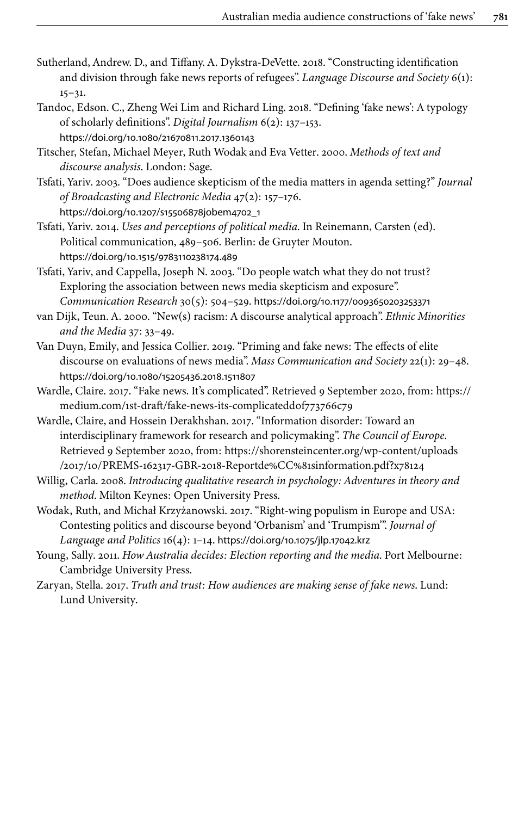- <span id="page-20-3"></span>Sutherland, Andrew. D., and Tiffany. A. Dykstra-DeVette. 2018. "Constructing identification and division through fake news reports of refugees". *Language Discourse and Society* 6(1):  $15 - 31.$
- <span id="page-20-4"></span>Tandoc, Edson. C., Zheng Wei Lim and Richard Ling. 2018. "Defining 'fake news': A typology of scholarly definitions". *Digital Journalism* 6(2): 137–153. [https://doi.org/10.1080/21670811.2017.1360143](https://doi.org/10.1080%2F21670811.2017.1360143)

<span id="page-20-11"></span>Titscher, Stefan, Michael Meyer, Ruth Wodak and Eva Vetter. 2000. *Methods of text and discourse analysis*. London: Sage.

<span id="page-20-0"></span>Tsfati, Yariv. 2003. "Does audience skepticism of the media matters in agenda setting?" *Journal of Broadcasting and Electronic Media* 47(2): 157–176. [https://doi.org/10.1207/s15506878jobem4702\\_1](https://doi.org/10.1207%2Fs15506878jobem4702_1)

<span id="page-20-13"></span>Tsfati, Yariv. 2014. *Uses and perceptions of political media*. In Reinemann, Carsten (ed). Political communication, 489–506. Berlin: de Gruyter Mouton. [https://doi.org/10.1515/9783110238174.489](https://doi.org/10.1515%2F9783110238174.489)

<span id="page-20-1"></span>Tsfati, Yariv, and Cappella, Joseph N. 2003. "Do people watch what they do not trust? Exploring the association between news media skepticism and exposure". *Communication Research* 30(5): 504–529. [https://doi.org/10.1177/0093650203253371](https://doi.org/10.1177%2F0093650203253371)

<span id="page-20-12"></span>van Dijk, Teun. A. 2000. "New(s) racism: A discourse analytical approach". *Ethnic Minorities and the Media* 37: 33–49.

- <span id="page-20-2"></span>Van Duyn, Emily, and Jessica Collier. 2019. "Priming and fake news: The effects of elite discourse on evaluations of news media". *Mass Communication and Society* 22(1): 29–48. [https://doi.org/10.1080/15205436.2018.1511807](https://doi.org/10.1080%2F15205436.2018.1511807)
- <span id="page-20-5"></span>Wardle, Claire. 2017. "Fake news. It's complicated". Retrieved 9 September 2020, from: [https://](https://medium.com/1st-draft/fake-news-its-complicatedd0f773766c79) medium.com/1st-draft/fake-news-its-complicateddof773766c79
- <span id="page-20-6"></span>Wardle, Claire, and Hossein Derakhshan. 2017. "Information disorder: Toward an interdisciplinary framework for research and policymaking". *The Council of Europe*. Retrieved 9 September 2020, from: [https://shorensteincenter.org/wp-content/uploads](https://shorensteincenter.org/wp-content/uploads/2017/10/PREMS-162317-GBR-2018-Reportde%CC%81sinformation.pdf?x78124) [/2017/10/PREMS-162317-GBR-2018-Reportde%CC%81sinformation.pdf?x78124](https://shorensteincenter.org/wp-content/uploads/2017/10/PREMS-162317-GBR-2018-Reportde%CC%81sinformation.pdf?x78124)

<span id="page-20-10"></span>Willig, Carla. 2008. *Introducing qualitative research in psychology: Adventures in theory and method*. Milton Keynes: Open University Press.

<span id="page-20-7"></span>Wodak, Ruth, and Michał Krzyżanowski. 2017. "Right-wing populism in Europe and USA: Contesting politics and discourse beyond 'Orbanism' and 'Trumpism'". *Journal of Language and Politics* 16(4): 1–14. [https://doi.org/10.1075/jlp.17042.krz](https://doi.org/10.1075%2Fjlp.17042.krz)

- <span id="page-20-9"></span>Young, Sally. 2011. *How Australia decides: Election reporting and the media*. Port Melbourne: Cambridge University Press.
- <span id="page-20-8"></span>Zaryan, Stella. 2017. *Truth and trust: How audiences are making sense of fake news*. Lund: Lund University.